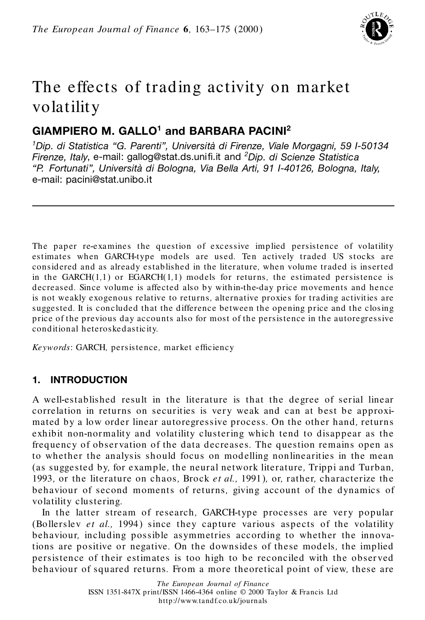

# The effects of trading activity on market volatility

# **GIAMPIERO M. GALLO<sup>1</sup> and BARBARA PACINI<sup>2</sup>**

*<sup>1</sup>Dip. di Statistica "G. Parenti", Universita ` di Firenze, Viale Morgagni, 59 I-50134 Firenze, Italy, e-mail: gallog@stat.ds.unifi.it and <sup>2</sup><i>Dip. di Scienze Statistica "P. Fortunati", Universita ` di Bologna, Via Bella Arti, 91 I-40126, Bologna, Italy,* e-mail: pacini@stat.unibo.it

The paper re*-*examines the question of excessive implied persistence of volatility estimates when GARCH*-*type models are used*.* Ten actively traded US stocks are considered and as already established in the lit erature*,* when volume traded is inserted in the GARCH(1*,*1) or EGARCH(1*,*1) models for returns*,* the estimated persistence is decreased*.* Since volume is affected also by within*-*the*-*day price movements and hence is not weakly exogenous relative to returns*,* alternative proxie s for trading activities are suggested*.* It is concluded that the difference between the opening price and the closing price of the previous day accounts also for most of the persistence in the autoregressive conditional heteroskedasticity*.*

*Keywords: GARCH, persistence, market efficiency* 

# **1. INTRODUCTION**

A well*-*established result in the literature is that the degree of serial linear correlation in returns on securities is very weak and can at best be approximated by a low order linear autoregressive process. On the other hand, returns exhibit non*-*normality and volatility clustering which tend to disappear as the frequency of obser vation of the data decreases*.* The question remains open as to whether the analysis should focus on modelling nonlinearities in the mean (as suggested by, for example, the neural network literature, Trippi and Turban, 1993*,* or the literature on chaos*,* Brock *et al.,* 1991)*,* or*,* rather*,* characterize th e behaviour of second moments of returns, giving account of the dynamics of volatility clustering*.*

In the latter stream of research, GARCH-type processes are very popular (Bollerslev *et al.*, 1994) since they capture various aspects of the volatility behaviour*,* including possible asymmetries according to whether the innovations are positive or negative*.* On the downsides of these mod els*,* the implied persistence of their estimates is too high to be reconciled with the observed behaviour of squared returns*.* From a more theoretical point of view*,* these are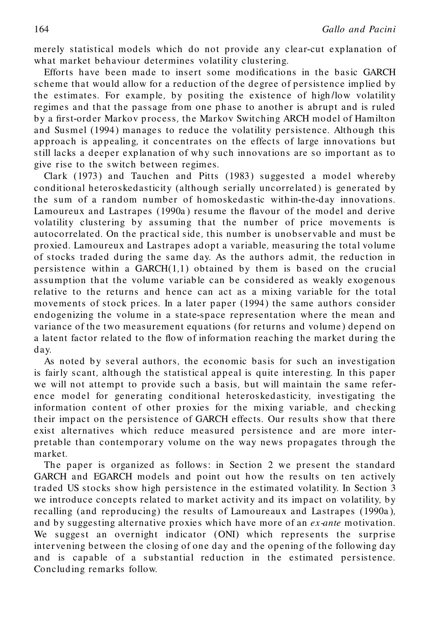merely statistical models which do not provide any clear*-*cut explanation of what market behaviour determines volatility clustering*.*

Efforts have been made to insert some modifications in the basic GARCH scheme that would allow for a reduction of the degree of persistence implied by the estimates*.* For example*,* by positing the existence of high */*low volatility regimes and that the passage from one phase to another is abrupt and is ruled by a first-order Markov process, the Markov Switching ARCH model of Hamilton and Susmel (1994) manages to reduce the volatility persistence*.* Although this approach is ap pealing*,* it concentrates on the effects of large innovations but still lacks a deeper explanation of why such innovations are so important as to give rise to the switch between regimes*.*

Clark (1973) and Tauchen and Pitts (1983) suggested a model whereby conditional heteroskedasticity (although serially uncorrelated ) is generated by the sum of a random number of h omoskedastic within*-*the*-*d ay innovations*.* Lamoureux and Lastrapes (1990a) resume the flavour of the model and derive volatility clustering by assuming that the number of price movements is autocorrelated*.* On the practical side*,* this number is unobser vable and must be proxied*.* Lamoureux and Lastrapes ad opt a variable*,* measuring the total volume of stocks traded during the same d ay*.* As the authors admit*,* the reduction in persistence within a GARCH(1*,*1) obtained by them isbased on the crucial assumption that the volume variable can be considered as weakly exogenous relative to the returns and hence can act as a mixing variable for the total movements of stock prices. In a later paper (1994) the same authors consider endogenizing the volume in a state-space representation where the mean and variance of the two measurement equations (for returns and volume ) depend on a latent factor related to the flow of information reaching the market during the day*.*

As noted by several authors, the economic basis for such an investigation is fairly scant, although the statistical appeal is quite interesting. In this paper we will not attempt to provide such a basis*,* but will maintain the same refer ence model for generating conditional heterosked asticity*,* investigating the information content of other proxies for the mixing variable, and checking their impact on the persistence of GARCH effects. Our results show that there exist alternatives which reduce measured persistence and are more interpretable than contemporary volume on the way news propagates through the market*.*

The paper is organized as follows: in Section 2 we present the standard GARCH and EGARCH models and point out how the results on ten actively traded US stocks show high persistence in the estimated volatility*.* In Section 3 we introduce concepts related to market activity and its impact on volatility*,* by recalling (and reproducing) the results of Lamoureaux and Lastrapes (1990a )*,* and by suggesting alternative proxies which have more of an *ex-ante* motivation*.* We suggest an overnight indicator (ONI) which represents the surprise inter vening between the closing of one day and the opening of the following day and is capable of a sub stantial red uction in the estimated persistence*.* Conclud ing remarks follow*.*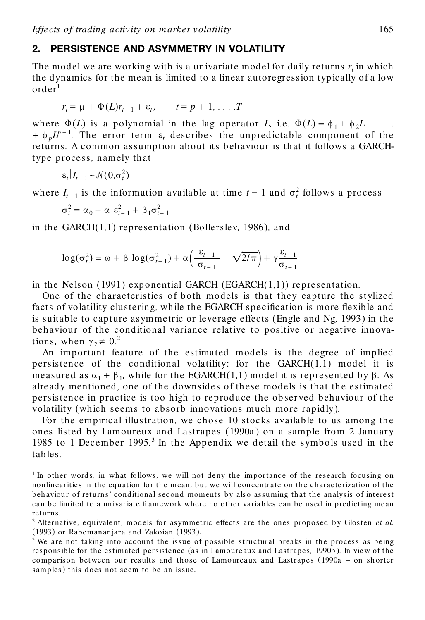#### **2. PERSISTENCE AND ASYMMETRY IN VOLATILITY**

The mod el we are working with is a univariate model for daily returns *r<sup>t</sup>* in which the dynamics for the mean is limited to a linear autoregression typ ically of a low  $\mathrm{order}^1$ 

$$
r_t = \mu + \Phi(L)r_{t-1} + \varepsilon_t, \qquad t = p + 1, \ldots, T
$$

where  $\Phi(L)$  is a polynomial in the lag operator *L*, i.e.  $\Phi(L) = \phi_1 + \phi_2 L + \dots$  $+\phi_p L^{p-1}$ . The error term  $\varepsilon_t$  describes the unpredictable component of the returns*.* A common assump tion about its b ehaviour is th at it follows a GARCHtype process*,* namely that

$$
\varepsilon_t | I_{t-1} \sim \mathcal{N}(0, \sigma_t^2)
$$

where  $I_{t-1}$  is the information available at time  $t-1$  and  $\sigma_t^2$  follows a process

$$
\sigma_t^2 = \alpha_0 + \alpha_1 \varepsilon_{t-1}^2 + \beta_1 \sigma_{t-1}^2
$$

in the GARCH(1*,*1) representation (Bollerslev*,* 1986)*,* and

$$
\log(\sigma_t^2) = \omega + \beta \log(\sigma_{t-1}^2) + \alpha \left( \frac{|\varepsilon_{t-1}|}{\sigma_{t-1}} - \sqrt{2/\pi} \right) + \gamma \frac{\varepsilon_{t-1}}{\sigma_{t-1}}
$$

in the Nelson (1991) exponential GARCH (EGARCH(1*,*1)) representation*.*

One of the characteristics of both models is that they capture the stylized facts of volatility clustering, while the EGARCH specification is more flexible and is suitable to capture asymmetric or leverage effects (Engle and Ng*,* 1993) in the behaviour of the conditional variance relative to positive or negative innovations, when  $\gamma_2 \neq 0.2$ 

An important feature of the estimated models is the degree of implied persistence of the conditional volatility: for the GARCH(1*,*1) model it is measured as  $\alpha_1 + \beta_1$ , while for the EGARCH(1,1) model it is represented by  $\beta$ . As already mentioned, one of the downsides of these models is that the estimated persistence in practice is too high to reproduce the ob ser ved beh aviour of the volatility (which seems to absorb innovations much more rapidly)*.*

For the empirical illustration, we chose 10 stocks available to us among the ones listed by Lamoureux and Lastrapes (1990a ) on a sample from 2 Januar y 1985 to 1 December 1995*.*<sup>3</sup> In the Appendix we detail the symbols used in the tables*.*

<sup>1</sup> In other words*,* in what follows*,* we will not deny the importance of the research focusing on nonlinearities in the equation for the mean*,* but we will concentrate on the characterization of the behaviour of returns' conditional second moments by also assuming that the analysis of interest can be limited to a univariate framework where no other variables can be used in predicting mean returns*.*

<sup>&</sup>lt;sup>2</sup> Alternative, equivalent, models for asymmetric effects are the ones proposed by Glosten *et al*. (1993) or Rabemananjara and Zakoïan (1993).

 $3$  We are not taking into account the issue of possible structural breaks in the process as being responsible for the estimated persistence (as in Lamoure aux and Lastrapes*,* 1990b )*.* In view ofthe comparison between our results and those of Lamoureaux and Lastrapes (1990a – on shorter samples) this does not seem to be an issue*.*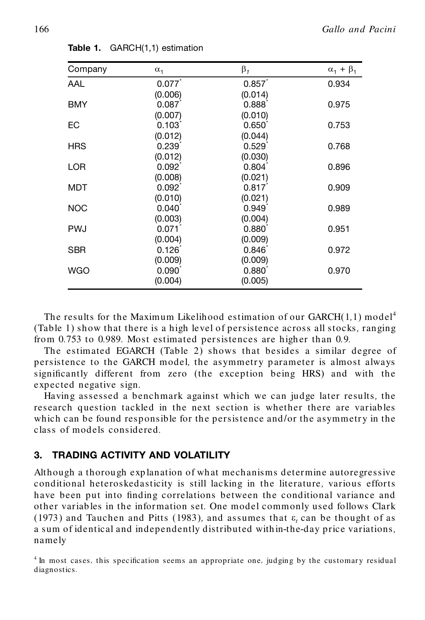| Company    | $\alpha_1$        | $\beta_1$         | $\alpha_1 + \beta_1$ |
|------------|-------------------|-------------------|----------------------|
| AAL        | 0.077             | 0.857             | 0.934                |
|            | (0.006)           | (0.014)           |                      |
| <b>BMY</b> | 0.087             | $0.888^{\circ}$   | 0.975                |
|            | (0.007)           | (0.010)           |                      |
| ЕC         | 0.103             | 0.650'            | 0.753                |
|            | (0.012)           | (0.044)           |                      |
| <b>HRS</b> | 0.239             | 0.529             | 0.768                |
|            | (0.012)           | (0.030)           |                      |
| <b>LOR</b> | $0.092^{\degree}$ | $0.804^{\degree}$ | 0.896                |
|            | (0.008)           | (0.021)           |                      |
| <b>MDT</b> | $0.092^*$         | 0.817             | 0.909                |
|            | (0.010)           | (0.021)           |                      |
| <b>NOC</b> | 0.040             | 0.949             | 0.989                |
|            | (0.003)           | (0.004)           |                      |
| <b>PWJ</b> | 0.071             | $0.880^{\degree}$ | 0.951                |
|            | (0.004)           | (0.009)           |                      |
| <b>SBR</b> | $0.126^{*}$       | $0.846^{\degree}$ | 0.972                |
|            | (0.009)           | (0.009)           |                      |
| <b>WGO</b> | $0.090^{\degree}$ | $0.880^{\degree}$ | 0.970                |
|            | (0.004)           | (0.005)           |                      |

**Table 1.** GARCH(1,1) estimation

The results for the Maximum Likelihood estimation of our GARCH(1*,*1) model<sup>4</sup> (Table 1) show that there is a high level of persistence across all stocks*,* ranging from 0.753 to 0.989. Most estimated persistences are higher than 0.9.

The estimated EGARCH (Table 2) shows that besides a similar degree of persistence to the GARCH model, the asymmetry parameter is almost always significantly different from zero (the exception being HRS) and with the expected negative sign*.*

Having assessed a benchmark against which we can judge later results*,* the research question tackled in the next section is whether there are variables which can be found responsible for the persistence and/or the asymmetry in the class of models considered*.*

## **3. TRADING ACTIVITY AND VOLATILITY**

Although a thorough exp lanation of what mechanisms d etermine autoregressive conditional heteroskedasticity is still lacking in the literature*,* various efforts have been put into finding correlations between the conditional variance and other variab les in the information set*.* One model commonly used follows Clark  $(1973)$  and Tauchen and Pitts  $(1983)$ , and assumes that  $\varepsilon$ , can be thought of as a sum of identical and independently distributed with in*-*the*-*day price variations*,* namely

<sup>&</sup>lt;sup>4</sup> In most cases, this specification seems an appropriate one, judging by the customary residual diagnostics*.*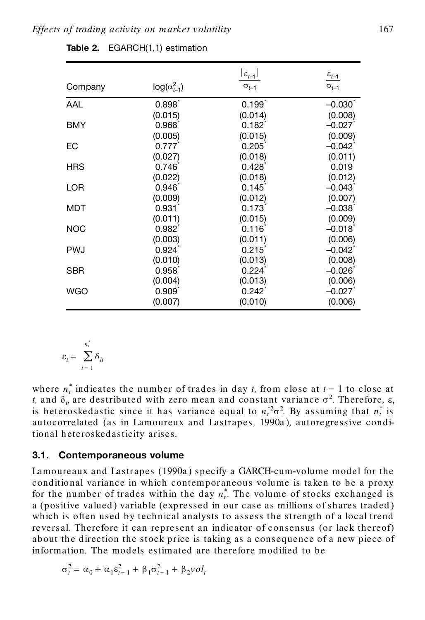|            |                       | $ \varepsilon_{t-1} $ | $\frac{\varepsilon_{t-1}}{2}$ |
|------------|-----------------------|-----------------------|-------------------------------|
| Company    | $log(\alpha_{t-1}^2)$ | $\sigma_{t-1}$        | $\sigma_{t-1}$                |
| AAL        | $0.898^{*}$           | 0.199                 | $-0.030$                      |
|            | (0.015)               | (0.014)               | (0.008)                       |
| <b>BMY</b> | 0.968                 | $0.182^{r}$           | $-0.027$                      |
|            | (0.005)               | (0.015)               | (0.009)                       |
| EC         | 0.777                 | 0.205                 | $-0.042$ <sup>*</sup>         |
|            | (0.027)               | (0.018)               | (0.011)                       |
| <b>HRS</b> | $0.746^{\degree}$     | 0.428                 | 0.019                         |
|            | (0.022)               | (0.018)               | (0.012)                       |
| <b>LOR</b> | 0.946                 | 0.145                 | $-0.043$                      |
|            | (0.009)               | (0.012)               | (0.007)                       |
| MDT        | 0.931                 | 0.173                 | $-0.038$                      |
|            | (0.011)               | (0.015)               | (0.009)                       |
| <b>NOC</b> | $0.982^{*}$           | $0.116^*$             | $-0.018$                      |
|            | (0.003)               | (0.011)               | (0.006)                       |
| <b>PWJ</b> | 0.924                 | 0.215                 | $-0.042$ <sup>*</sup>         |
|            | (0.010)               | (0.013)               | (0.008)                       |
| SBR        | 0.958                 | 0.224                 | $-0.026$ <sup>*</sup>         |
|            | (0.004)               | (0.013)               | (0.006)                       |
| WGO        | 0.909                 | $0.242$ <sup>*</sup>  | $-0.027$                      |
|            | (0.007)               | (0.010)               | (0.006)                       |

**Table 2.** EGARCH(1,1) estimation

$$
\varepsilon_t = \sum_{i=1}^{n_t^*} \delta_{it}
$$

where  $n_t^*$  indicates the number of trades in day *t*, from close at  $t-1$  to close at *t*, and  $\delta$ <sup>*i*</sup> are destributed with zero mean and constant variance  $\sigma$ <sup>2</sup>. Therefore,  $\epsilon$ <sup>*t*</sup> is heteroskedastic since it has variance equal to  $n_t^{*2}$  By assuming that  $n_t^{*}$  is autocorrelated (as in Lamoureux and Lastrapes*,* 1990a )*,* autoregressive conditional h eteroskedasticity arises*.*

#### **3.1. Contemporaneous volume**

Lamoureaux and Lastrapes (1990a ) sp ecify a GARCH*-*cum*-*volume model for the conditional variance in which contemporaneous volume is taken to be a proxy for the number of trades within the day  $n_t^*$ . The volume of stocks exchanged is a (positive valued) variable (expressed in our case as millions of shares traded) which is often used by technical analysts to assess the strength of a local trend reversal*.* Therefore it can represent an indicator of consensus (or lack thereof) about the direction the stock price is taking as a consequence of a new piece of information. The models estimated are therefore modified to be

$$
\sigma_t^2 = \alpha_0 + \alpha_1 \varepsilon_{t-1}^2 + \beta_1 \sigma_{t-1}^2 + \beta_2 \nu o l_t
$$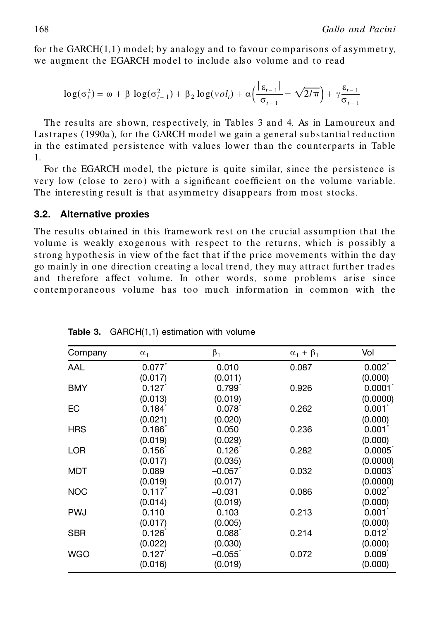for the GARCH(1*,*1) model; by analogy and to favour comparisons of asymmetr y*,* we augment the EGARCH model to include also volume and to read

$$
\log(\sigma_t^2) = \omega + \beta \log(\sigma_{t-1}^2) + \beta_2 \log(\nu o l_t) + \alpha \left(\frac{|\varepsilon_{t-1}|}{\sigma_{t-1}} - \sqrt{2/\pi}\right) + \gamma \frac{\varepsilon_{t-1}}{\sigma_{t-1}}
$$

The results are shown, respectively, in Tables 3 and 4. As in Lamoureux and Lastrapes (1990a )*,* for the GARCH model we gain a general substantial reduction in the estimated persistence with values lower than the counterparts in Table 1*.*

For the EGARCH model*,* the picture is quite similar*,* since the persistence is very low (close to zero) with a significant coefficient on the volume variable. The interesting result is that asymmetry disappears from most stocks*.*

#### **3.2. Alternative proxies**

The results obtained in this framework rest on the crucial assumption that the volume is weakly exogenous with respect to the returns*,* which is possibly a strong hypothesis in view of the fact that if the price movements within the day go mainly in one direction creating a local trend*,* they may attract further trad es and therefore affect volume*.* In other words*,* some problems arise since contemporaneous volume has too much information in common with the

| Company    | $\alpha_1$           | $\beta_1$   | $\alpha_1 + \beta_1$ | Vol                |
|------------|----------------------|-------------|----------------------|--------------------|
| AAL        | 0.077                | 0.010       | 0.087                | $0.002^{\dagger}$  |
|            | (0.017)              | (0.011)     |                      | (0.000)            |
| <b>BMY</b> | 0.127                | $0.799^{*}$ | 0.926                | $0.0001^{\degree}$ |
|            | (0.013)              | (0.019)     |                      | (0.0000)           |
| ЕC         | $0.184$ <sup>*</sup> | $0.078^{*}$ | 0.262                | $0.001^*$          |
|            | (0.021)              | (0.020)     |                      | (0.000)            |
| <b>HRS</b> | 0.186                | 0.050       | 0.236                | $0.001^{\degree}$  |
|            | (0.019)              | (0.029)     |                      | (0.000)            |
| LOR        | 0.156                | $0.126^{*}$ | 0.282                | $0.0005^{\degree}$ |
|            | (0.017)              | (0.035)     |                      | (0.0000)           |
| <b>MDT</b> | 0.089                | $-0.057$    | 0.032                | 0.0003             |
|            | (0.019)              | (0.017)     |                      | (0.0000)           |
| <b>NOC</b> | 0.117                | $-0.031$    | 0.086                | $0.002^*$          |
|            | (0.014)              | (0.019)     |                      | (0.000)            |
| <b>PWJ</b> | 0.110                | 0.103       | 0.213                | $0.001^{\degree}$  |
|            | (0.017)              | (0.005)     |                      | (0.000)            |
| <b>SBR</b> | 0.126                | 0.088       | 0.214                | 0.012              |
|            | (0.022)              | (0.030)     |                      | (0.000)            |
| <b>WGO</b> | 0.127                | $-0.055$    | 0.072                | 0.009 <sup>°</sup> |
|            | (0.016)              | (0.019)     |                      | (0.000)            |

**Table 3.** GARCH(1,1) estimation with volume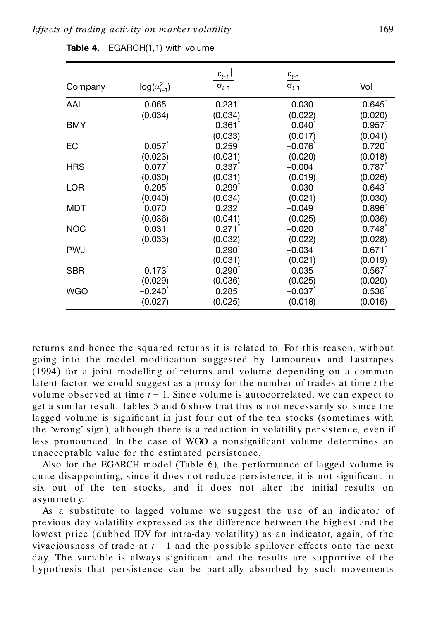|            |                       | $ \varepsilon_{t-1} $ | $\underline{\varepsilon_{t-1}}$ |                   |
|------------|-----------------------|-----------------------|---------------------------------|-------------------|
| Company    | $log(\alpha_{t-1}^2)$ | $\sigma_{t-1}$        | $\sigma_{t-1}$                  | Vol               |
| AAL        | 0.065                 | 0.231                 | $-0.030$                        | $0.645^{\degree}$ |
|            | (0.034)               | (0.034)               | (0.022)                         | (0.020)           |
| <b>BMY</b> |                       | 0.361                 | $0.040^{\circ}$                 | 0.957             |
|            |                       | (0.033)               | (0.017)                         | (0.041)           |
| EС         | 0.057                 | 0.259                 | $-0.076$                        | $0.720^{1}$       |
|            | (0.023)               | (0.031)               | (0.020)                         | (0.018)           |
| <b>HRS</b> | 0.077                 | 0.337                 | $-0.004$                        | 0.787             |
|            | (0.030)               | (0.031)               | (0.019)                         | (0.026)           |
| <b>LOR</b> | 0.205                 | 0.299                 | $-0.030$                        | 0.643             |
|            | (0.040)               | (0.034)               | (0.021)                         | (0.030)           |
| MDT        | 0.070                 | 0.232                 | $-0.049$                        | $0.896^{\degree}$ |
|            | (0.036)               | (0.041)               | (0.025)                         | (0.036)           |
| <b>NOC</b> | 0.031                 | 0.271                 | $-0.020$                        | 0.748             |
|            | (0.033)               | (0.032)               | (0.022)                         | (0.028)           |
| <b>PWJ</b> |                       | $0.290^{\degree}$     | $-0.034$                        | 0.671             |
|            |                       | (0.031)               | (0.021)                         | (0.019)           |
| <b>SBR</b> | $0.173$ <sup>*</sup>  | $0.290^{\degree}$     | 0.035                           | 0.567             |
|            | (0.029)               | (0.036)               | (0.025)                         | (0.020)           |
| <b>WGO</b> | $-0.240$ <sup>*</sup> | 0.285                 | $-0.037$                        | $0.536^{\circ}$   |
|            | (0.027)               | (0.025)               | (0.018)                         | (0.016)           |

returns and hence the squared returns it is related to*.* For this reason*,* without going into the model modification suggested by Lamoureux and Lastrapes (1994) for a joint modelling of returns and volume depending on a common latent factor, we could suggest as a proxy for the number of trades at time *t* the volume observed at time  $t - 1$ . Since volume is autocorrelated, we can expect to get a similar result*.* Tab les 5 and 6 show that this is not necessarily so*,* since the lagged volume is significant in just four out of the ten stocks (sometimes with the 'wrong' sign), although there is a reduction in volatility persistence, even if less pronounced. In the case of WGO a nonsignificant volume determines an unacceptable value for the estimated persistence*.*

Also for the EGARCH model (Table 6)*,* the performance of lagged volume is quite disappointing, since it does not reduce persistence, it is not significant in six out of the ten stocks, and it does not alter the initial results on asymmetr y*.*

As a substitute to lagged volume we suggest the use of an indicator of previous day volatility expressed as the difference between the highest and the lowest price (dubbed IDV for intra*-*day volatility) as an indicator*,* again*,* of the vivaciousness of trade at  $t-1$  and the possible spillover effects onto the next day. The variable is always significant and the results are supportive of the hypothesis that persistence can be partially absorbed by such movements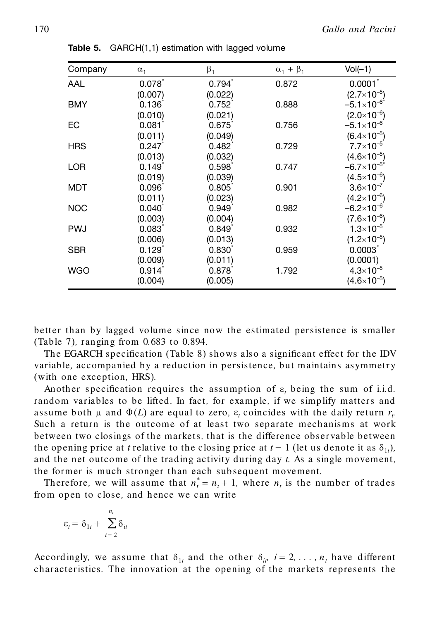| Company    | $\alpha_1$        | $\beta_1$         | $\alpha_1 + \beta_1$ | $Vol(-1)$             |
|------------|-------------------|-------------------|----------------------|-----------------------|
| AAL        | $0.078^{\degree}$ | $0.794^{\degree}$ | 0.872                | $0.0001^*$            |
|            | (0.007)           | (0.022)           |                      | $(2.7\times10^{-5})$  |
| <b>BMY</b> | 0.136             | 0.752             | 0.888                | $-5.1\times10^{-6*}$  |
|            | (0.010)           | (0.021)           |                      | $(2.0\times10^{-6})$  |
| EC         | $0.081^{\degree}$ | $0.675^{\degree}$ | 0.756                | $-5.1\times10^{-6}$   |
|            | (0.011)           | (0.049)           |                      | $(6.4\times10^{-5})$  |
| <b>HRS</b> | 0.247             | $0.482^{*}$       | 0.729                | $7.7\times10^{-5}$    |
|            | (0.013)           | (0.032)           |                      | $(4.6\times10^{-5})$  |
| LOR        | 0.149             | $0.598^{*}$       | 0.747                | $-6.7\times10^{-5}$ * |
|            | (0.019)           | (0.039)           |                      | $(4.5\times10^{-6})$  |
| MDT        | $0.096^{\degree}$ | 0.805             | 0.901                | $3.6 \times 10^{-7}$  |
|            | (0.011)           | (0.023)           |                      | $(4.2\times10^{-6})$  |
| <b>NOC</b> | 0.040             | 0.949             | 0.982                | $-6.2\times10^{-6}$   |
|            | (0.003)           | (0.004)           |                      | $(7.6\times10^{-6})$  |
| <b>PWJ</b> | 0.083             | 0.849             | 0.932                | $1.3 \times 10^{-5}$  |
|            | (0.006)           | (0.013)           |                      | $(1.2\times10^{-5})$  |
| <b>SBR</b> | 0.129             | $0.830^{1}$       | 0.959                | 0.0003                |
|            | (0.009)           | (0.011)           |                      | (0.0001)              |
| <b>WGO</b> | $0.914^{\degree}$ | $0.878^{*}$       | 1.792                | $4.3 \times 10^{-5}$  |
|            | (0.004)           | (0.005)           |                      | $(4.6\times10^{-5})$  |

**Table 5.** GARCH(1,1) estimation with lagged volume

better than by lagged volume since now the estimated persistence is smaller (Table 7)*,* ranging from 0*.*683 to 0*.*894*.*

The EGARCH specification (Table 8) shows also a significant effect for the IDV variable, accompanied by a reduction in persistence, but maintains asymmetry (with one exception*,* HRS)*.*

Another specification requires the assumption of  $\varepsilon$ , being the sum of i.i.d. random variables to be lifted. In fact, for example, if we simplify matters and assume both  $\mu$  and  $\Phi(L)$  are equal to zero,  $\varepsilon$ , coincides with the daily return  $r_r$ . Such a return is the outcome of at least two separate mechanisms at work between two closings of the markets*,* that is the difference obser vable between the opening price at *t* relative to the closing price at  $t-1$  (let us denote it as  $\delta_{1t}$ ), and the net outcome of the trading activity during day *t.* As a single movement*,* the former is much stronger than each sub sequent movement*.*

Therefore, we will assume that  $n_t^* = n_t + 1$ , where  $n_t$  is the number of trades from open to close, and hence we can write

$$
\varepsilon_t = \delta_{1t} + \sum_{i=2}^{n_t} \delta_{it}
$$

Accordingly, we assume that  $\delta_{1t}$  and the other  $\delta_{ir}$  *i* = 2, ...,  $n_t$  have different characteristics*.* The innovation at the opening of the markets represents the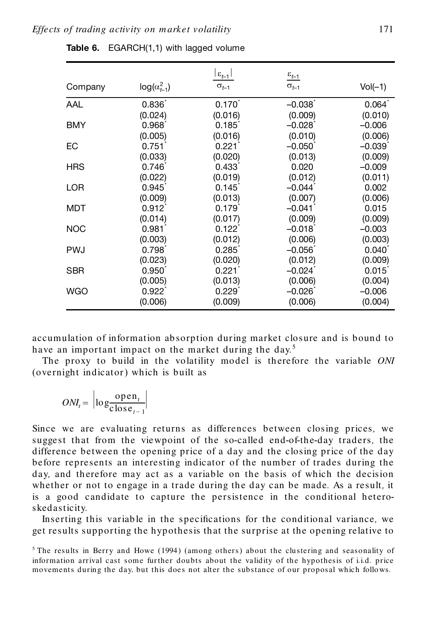| Company    | $log(\alpha_{t-1}^2)$ | $ \varepsilon_{t-1} $<br>$\sigma_{t-1}$ | $\underline{\epsilon_{t-1}}$<br>$\sigma_{t-1}$ | $Vol(-1)$         |
|------------|-----------------------|-----------------------------------------|------------------------------------------------|-------------------|
|            |                       |                                         |                                                |                   |
| AAL        | $0.836^{*}$           | $0.170^{1}$                             | $-0.038$                                       | $0.064^{\degree}$ |
|            | (0.024)               | (0.016)                                 | (0.009)                                        | (0.010)           |
| <b>BMY</b> | 0.968                 | 0.185                                   | $-0.028$ <sup>*</sup>                          | $-0.006$          |
|            | (0.005)               | (0.016)                                 | (0.010)                                        | (0.006)           |
| EC         | $0.751^{\degree}$     | 0.221                                   | $-0.050^{\circ}$                               | $-0.039$          |
|            | (0.033)               | (0.020)                                 | (0.013)                                        | (0.009)           |
| <b>HRS</b> | $0.746^{*}$           | 0.433                                   | 0.020                                          | $-0.009$          |
|            | (0.022)               | (0.019)                                 | (0.012)                                        | (0.011)           |
| <b>LOR</b> | 0.945                 | 0.145                                   | $-0.044$ <sup>*</sup>                          | 0.002             |
|            | (0.009)               | (0.013)                                 | (0.007)                                        | (0.006)           |
| MDT        | 0.912                 | 0.179                                   | $-0.041$                                       | 0.015             |
|            | (0.014)               | (0.017)                                 | (0.009)                                        | (0.009)           |
| <b>NOC</b> | 0.981                 | $0.122^{\degree}$                       | $-0.018$                                       | $-0.003$          |
|            | (0.003)               | (0.012)                                 | (0.006)                                        | (0.003)           |
| <b>PWJ</b> | $0.798^{r}$           | $0.285^{\degree}$                       | $-0.056^{\circ}$                               | $0.040^{\degree}$ |
|            | (0.023)               | (0.020)                                 | (0.012)                                        | (0.009)           |
| <b>SBR</b> | 0.950                 | 0.221                                   | $-0.024$ <sup>*</sup>                          | $0.015^{\degree}$ |
|            | (0.005)               | (0.013)                                 | (0.006)                                        | (0.004)           |
| <b>WGO</b> | 0.922                 | 0.229                                   | $-0.026$ <sup>*</sup>                          | $-0.006$          |
|            | (0.006)               | (0.009)                                 | (0.006)                                        | (0.004)           |

**Table 6.** EGARCH(1,1) with lagged volume

accumulation of information ab sorption during market closure and is bound to have an important impact on the market during the day*.*<sup>5</sup>

The proxy to build in the volatility model is therefore the variable *ONI* (overnight indicator) which is built as

$$
ONI_t = \left| \log \frac{\text{open}_t}{\text{close}_{t-1}} \right|
$$

Since we are evaluating returns as differences between closing prices*,* we sugge st that from the viewpoint of the so*-*called end*-*of*-*th e*-*day traders*,* the difference between the opening price of a day and the closing price of the day before represents an interesting indicator of the number of trades during the day*,* and th erefore may act as a variable on the basis of which the decision whether or not to engage in a trade during the day can be made. As a result, it is a good candidate to capture the persistence in the conditional heteroskedasticity*.*

Inserting this variable in the specifications for the conditional variance, we get results supporting the hypothesis that the surprise at the opening relative to

<sup>5</sup> The results in Berry and Howe (1994) (among others) about the clustering and seasonality of information arrival cast some further doubts about the validity of the hypothesis of i.i.d. price movements during the day*,* but this does not alter the substance of our proposal which follows*.*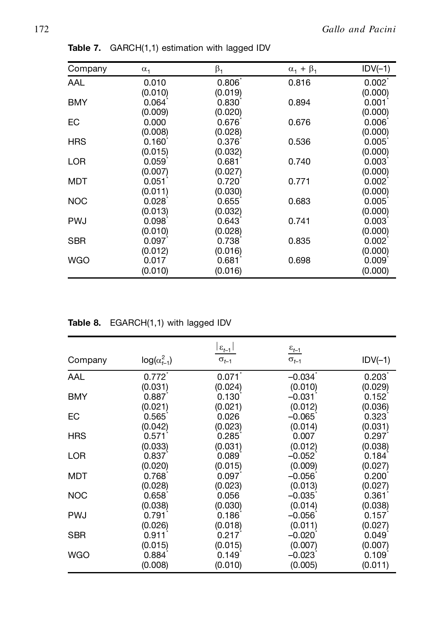| Company    | $\alpha_1$      | $\beta_1$       | $\alpha_1 + \beta_1$ | $IDV(-1)$          |
|------------|-----------------|-----------------|----------------------|--------------------|
| AAL        | 0.010           | 0.806           | 0.816                | $0.002^{\degree}$  |
|            | (0.010)         | (0.019)         |                      | (0.000)            |
| <b>BMY</b> | $0.064^{\circ}$ | $0.830^{\circ}$ | 0.894                | 0.001              |
|            | (0.009)         | (0.020)         |                      | (0.000)            |
| EC         | 0.000           | 0.676           | 0.676                | 0.006              |
|            | (0.008)         | (0.028)         |                      | (0.000)            |
| <b>HRS</b> | 0.160           | 0.376           | 0.536                | 0.005              |
|            | (0.015)         | (0.032)         |                      | (0.000)            |
| LOR        | 0.059           | 0.681           | 0.740                | 0.003 <sup>2</sup> |
|            | (0.007)         | (0.027)         |                      | (0.000)            |
| <b>MDT</b> | 0.051           | 0.720           | 0.771                | 0.002              |
|            | (0.011)         | (0.030)         |                      | (0.000)            |
| <b>NOC</b> | 0.028           | 0.655           | 0.683                | 0.005              |
|            | (0.013)         | (0.032)         |                      | (0.000)            |
| <b>PWJ</b> | 0.098           | 0.643           | 0.741                | 0.003              |
|            | (0.010)         | (0.028)         |                      | (0.000)            |
| <b>SBR</b> | 0.097           | 0.738           | 0.835                | 0.002              |
|            | (0.012)         | (0.016)         |                      | (0.000)            |
| WGO        | 0.017           | 0.681           | 0.698                | 0.009 <sup>1</sup> |
|            | (0.010)         | (0.016)         |                      | (0.000)            |

**Table 7.** GARCH(1,1) estimation with lagged IDV

**Table 8.** EGARCH(1,1) with lagged IDV

| Company    | $log(\alpha_{t-1}^2)$ | $ \varepsilon_{t-1} $<br>$\sigma_{t-1}$ | $\underline{\epsilon_{t-1}}$<br>$\sigma_{t-1}$ | $IDV(-1)$         |
|------------|-----------------------|-----------------------------------------|------------------------------------------------|-------------------|
|            |                       |                                         |                                                |                   |
| AAL        | $0.772^{*}$           | 0.071                                   | $-0.034$ <sup>*</sup>                          | $0.203^{\degree}$ |
|            | (0.031)               | (0.024)                                 | (0.010)                                        | (0.029)           |
| <b>BMY</b> | 0.887                 | 0.130                                   | $-0.031$                                       | 0.152             |
|            | (0.021)               | (0.021)                                 | (0.012)                                        | (0.036)           |
| EC         | 0.565                 | 0.026                                   | $-0.065$                                       | 0.323             |
|            | (0.042)               | (0.023)                                 | (0.014)                                        | (0.031)           |
| <b>HRS</b> | 0.571                 | 0.285                                   | 0.007                                          | 0.297             |
|            | (0.033)               | (0.031)                                 | (0.012)                                        | (0.038)           |
| <b>LOR</b> | 0.837                 | 0.089                                   | $-0.052$                                       | 0.184             |
|            | (0.020)               | (0.015)                                 | (0.009)                                        | (0.027)           |
| <b>MDT</b> | 0.768                 | 0.097                                   | $-0.056$                                       | 0.200             |
|            | (0.028)               | (0.023)                                 | (0.013)                                        | (0.027)           |
| <b>NOC</b> | 0.658                 | 0.056                                   | $-0.035$                                       | 0.361             |
|            | (0.038)               | (0.030)                                 | (0.014)                                        | (0.038)           |
| <b>PWJ</b> | 0.791                 | $0.186^{\circ}$                         | $-0.056$                                       | 0.157             |
|            | (0.026)               | (0.018)                                 | (0.011)                                        | (0.027)           |
| <b>SBR</b> | 0.911                 | 0.217                                   | $-0.020$                                       | 0.049             |
|            | (0.015)               | (0.015)                                 | (0.007)                                        | (0.007)           |
| <b>WGO</b> | 0.884'                | 0.149                                   | $-0.023$ <sup>*</sup>                          | 0.109             |
|            | (0.008)               | (0.010)                                 | (0.005)                                        | (0.011)           |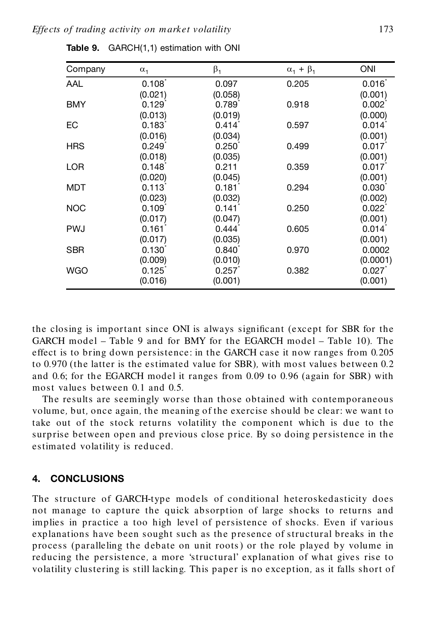| Company    | $\alpha_1$        | $\beta_1$         | $\alpha_1 + \beta_1$ | ONI                |
|------------|-------------------|-------------------|----------------------|--------------------|
| AAL        | 0.108             | 0.097             | 0.205                | 0.016              |
|            | (0.021)           | (0.058)           |                      | (0.001)            |
| <b>BMY</b> | 0.129             | 0.789             | 0.918                | $0.002^{\degree}$  |
|            | (0.013)           | (0.019)           |                      | (0.000)            |
| EC         | 0.183             | 0.414             | 0.597                | 0.014              |
|            | (0.016)           | (0.034)           |                      | (0.001)            |
| <b>HRS</b> | 0.249             | $0.250^{\degree}$ | 0.499                | 0.017              |
|            | (0.018)           | (0.035)           |                      | (0.001)            |
| <b>LOR</b> | 0.148             | 0.211             | 0.359                | 0.017              |
|            | (0.020)           | (0.045)           |                      | (0.001)            |
| MDT        | 0.113             | 0.181             | 0.294                | 0.030 <sup>°</sup> |
|            | (0.023)           | (0.032)           |                      | (0.002)            |
| <b>NOC</b> | 0.109             | 0.141             | 0.250                | 0.022              |
|            | (0.017)           | (0.047)           |                      | (0.001)            |
| <b>PWJ</b> | $0.161^{\degree}$ | 0.444             | 0.605                | 0.014              |
|            | (0.017)           | (0.035)           |                      | (0.001)            |
| SBR        | $0.130^{*}$       | 0.840             | 0.970                | 0.0002             |
|            | (0.009)           | (0.010)           |                      | (0.0001)           |
| WGO        | 0.125             | 0.257             | 0.382                | 0.027              |
|            | (0.016)           | (0.001)           |                      | (0.001)            |

**Table 9.** GARCH(1,1) estimation with ONI

the closing is important since ONI is always significant (except for SBR for the GARCH model – Table 9 and for BMY for the EGARCH model – Table 10)*.* The effect is to bring down persistence: in the GARCH case it now ranges from 0*.*205 to 0*.*970 (the latter is the estimated value for SBR)*,* with most values between 0*.*2 and 0.6; for the EGARCH model it ranges from 0.09 to 0.96 (again for SBR) with most values between 0*.*1 and 0*.*5*.*

The results are seemingly worse than those obtained with contemporaneous volume*,* but*,* once again*,* the meaning of the exercise sh ould be clear: we want to take out of the stock returns volatility the component which is due to the surprise between open and previous close price. By so doing persistence in the estimated volatility is reduced*.*

## **4. CONCLUSIONS**

The structure of GARCH*-*type models of conditional heteroskedasticity does not manage to capture the quick absorption of large shocks to returns and implies in practice a too high level of persistence of shocks*.* Even if various explanations have been sought such as the presence of structural breaks in the process (paralleling the d ebate on unit roots) or the role played by volume in reducing the persistence, a more 'structural' explanation of what gives rise to volatility clustering is still lacking*.* This paper is no exception*,* as it falls short of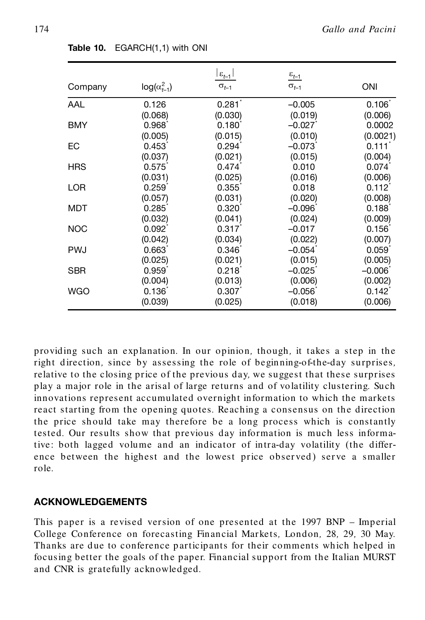|            |                       | $ \varepsilon_{t-1} $ | $\underline{\epsilon_{t-1}}$ |                      |
|------------|-----------------------|-----------------------|------------------------------|----------------------|
| Company    | $log(\alpha_{t-1}^2)$ | $\sigma_{t-1}$        | $\sigma_{t-1}$               | <b>ONI</b>           |
| AAL        | 0.126                 | 0.281                 | $-0.005$                     | 0.106                |
|            | (0.068)               | (0.030)               | (0.019)                      | (0.006)              |
| <b>BMY</b> | 0.968                 | $0.180^{^{\circ}}$    | $-0.027$                     | 0.0002               |
|            | (0.005)               | (0.015)               | (0.010)                      | (0.0021)             |
| EC         | 0.453                 | 0.294                 | $-0.073$ <sup>*</sup>        | 0.111                |
|            | (0.037)               | (0.021)               | (0.015)                      | (0.004)              |
| <b>HRS</b> | 0.575                 | 0.474                 | 0.010                        | 0.074                |
|            | (0.031)               | (0.025)               | (0.016)                      | (0.006)              |
| <b>LOR</b> | 0.259                 | 0.355                 | 0.018                        | $0.112$ <sup>*</sup> |
|            | (0.057)               | (0.031)               | (0.020)                      | (0.008)              |
| MDT        | 0.285                 | 0.320                 | $-0.096$                     | 0.188                |
|            | (0.032)               | (0.041)               | (0.024)                      | (0.009)              |
| <b>NOC</b> | $0.092^{\degree}$     | 0.317                 | $-0.017$                     | $0.156^{\degree}$    |
|            | (0.042)               | (0.034)               | (0.022)                      | (0.007)              |
| <b>PWJ</b> | 0.663                 | $0.346^{\degree}$     | $-0.054$                     | 0.059                |
|            | (0.025)               | (0.021)               | (0.015)                      | (0.005)              |
| <b>SBR</b> | 0.959                 | 0.218                 | $-0.025$                     | $-0.006$             |
|            | (0.004)               | (0.013)               | (0.006)                      | (0.002)              |
| <b>WGO</b> | 0.136                 | 0.307                 | $-0.056$                     | $0.142^{r}$          |
|            | (0.039)               | (0.025)               | (0.018)                      | (0.006)              |

**Table 10.** EGARCH(1,1) with ONI

providing such an explanation*.* In our opinion*,* though*,* it takes a step in th e right d irection*,* since by assessing the role of beginning*-*of*-*the*-*day surprises*,* relative to the closing price of the previous day*,* we suggest that these surprises play a major role in the arisal of large returns and of volatility clustering*.* Such innovations represent accumulated overnight information to which the markets react starting from the opening quotes. Reaching a consensus on the direction the price should take may therefore be a long process which is constantly tested*.* Our results show that previous day information is much less informative: both lagged volume and an indicator of intra*-*day volatility (the differ ence between the highest and the lowest price observed) serve a smaller role*.*

#### **ACKNOWLEDGEMENTS**

This paper is a revised version of one presented at the 1997 BNP – Imperial College Conference on forecasting Financial Markets*,* London*,* 28*,* 29*,* 30 May*.* Thanks are due to conference participants for their comments which helped in focusing better the goals of the paper. Financial support from the Italian MURST and CNR is gratefully acknowledged*.*